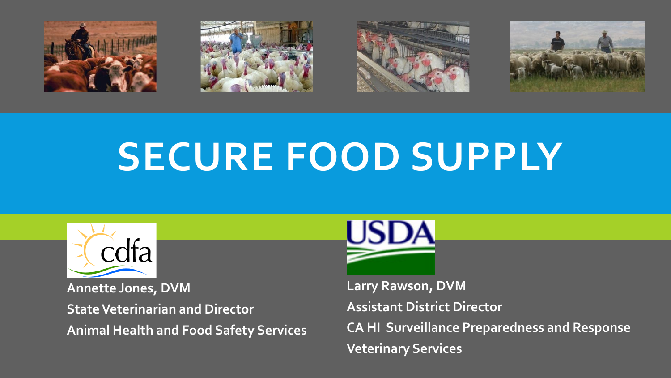







# **SECURE FOOD SUPPLY**



**State Veterinarian and Director Manual Assistant District Director Animal Health and Food Safety Services Annette Jones, DVM Larry Rawson, DVM** 



**CA HI Surveillance Preparedness and Response Veterinary Services**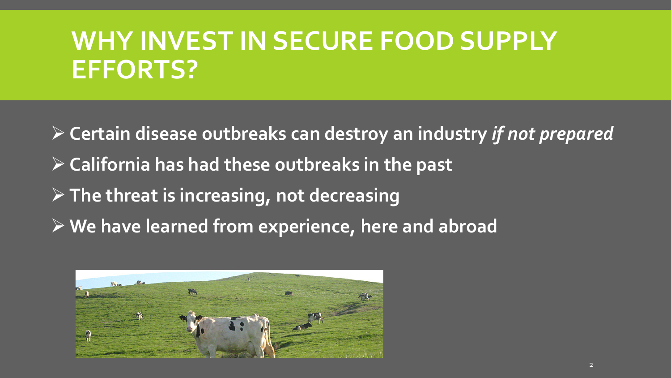# **WHY INVEST IN SECURE FOOD SUPPLY EFFORTS?**

 **Certain disease outbreaks can destroy an industry** *if not prepared*   **California has had these outbreaks in the past We have learned from experience, here and abroad The threat is increasing, not decreasing** 

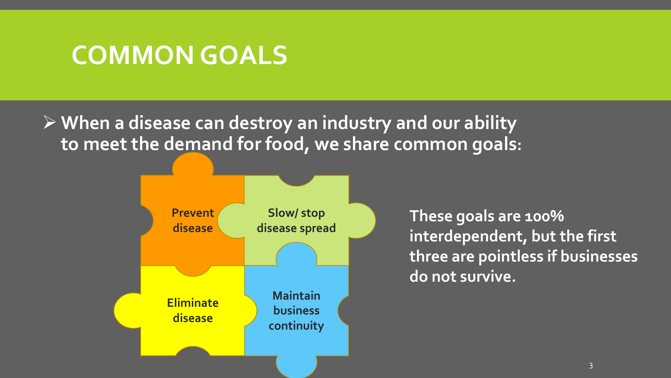#### **COMMON GOALS**

 **When a disease can destroy an industry and our ability to meet the demand for food, we share common goals:** 



**These goals are 100% interdependent, but the first three are pointless if businesses do not survive.**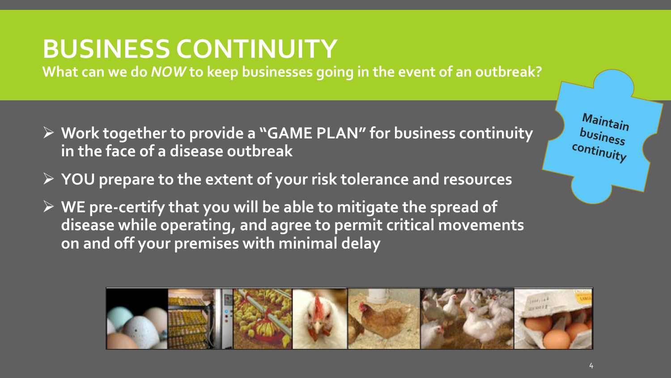### **BUSINESS CONTINUITY**

**What can we do** *NOW* **to keep businesses going in the event of an outbreak?** 

- **Work together to provide a "GAME PLAN" for business continuity in the face of a disease outbreak**
- **YOU prepare to the extent of your risk tolerance and resources**
- **WE pre-certify that you will be able to mitigate the spread of disease while operating, and agree to permit critical movements on and off your premises with minimal delay**



r

*Maintain* 

*business* 

*continuity*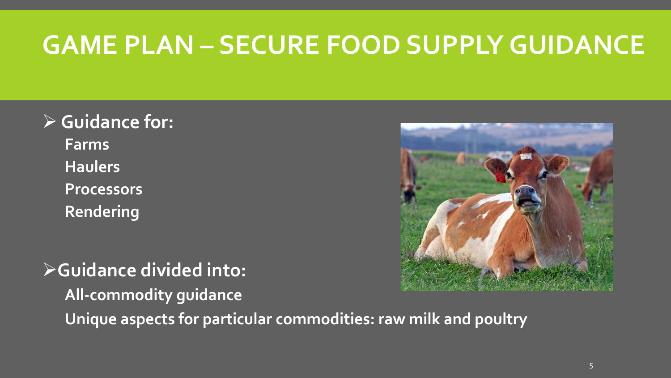## **GAME PLAN – SECURE FOOD SUPPLY GUIDANCE**

#### **Guidance for: Farms Haulers Processors Rendering**

**Guidance divided into: All-commodity guidance Unique aspects for particular commodities: raw milk and poultry** 

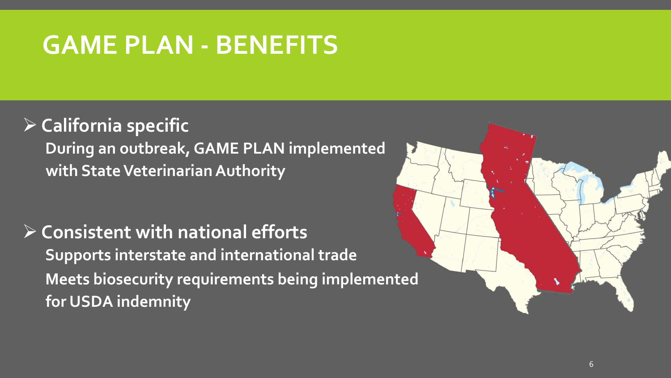# **GAME PLAN - BENEFITS**

#### **California specific**

 **During an outbreak, GAME PLAN implemented with State Veterinarian Authority** 

 **Consistent with national efforts Supports interstate and international trade Meets biosecurity requirements being implemented for USDA indemnity** 

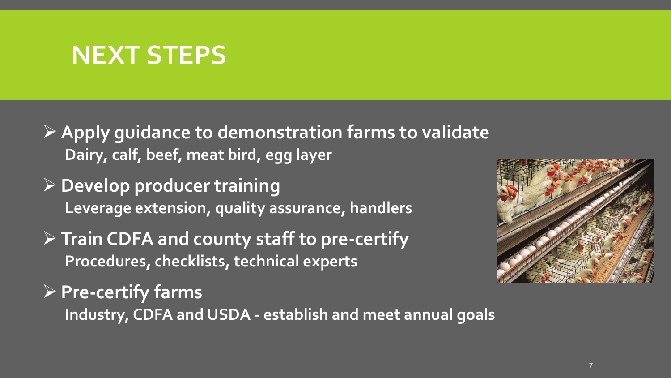#### **NEXT STEPS**

- **Apply guidance to demonstration farms to validate Dairy, calf, beef, meat bird, egg layer**
- **Leverage extension, quality assurance, handlers Develop producer training**
- **Train CDFA and county staff to pre-certify Procedures, checklists, technical experts**



 **Industry, CDFA and USDA - establish and meet annual goals Pre-certify farms**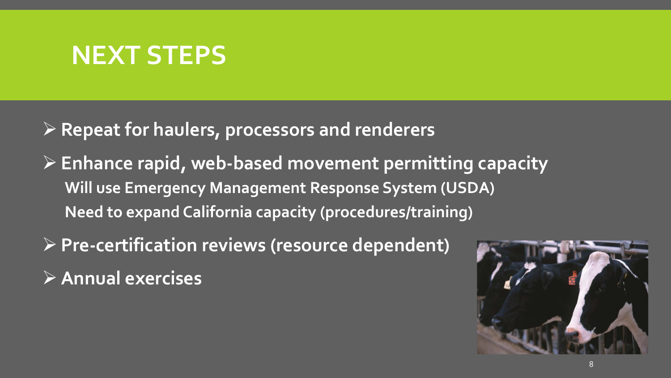#### **NEXT STEPS**

 **Repeat for haulers, processors and renderers** 

- **Will use Emergency Management Response System (USDA) Need to expand California capacity (procedures/training) Enhance rapid, web-based movement permitting capacity**
- **Pre-certification reviews (resource dependent) Annual exercises**